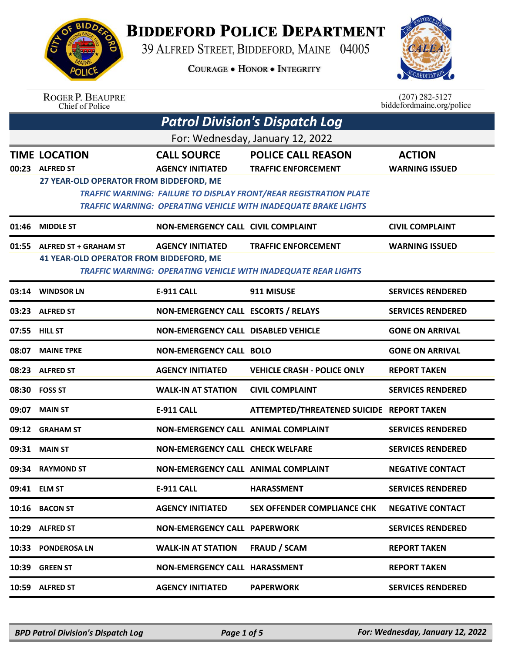

## **BIDDEFORD POLICE DEPARTMENT**

39 ALFRED STREET, BIDDEFORD, MAINE 04005

**COURAGE . HONOR . INTEGRITY** 



| <b>ROGER P. BEAUPRE</b> |  |
|-------------------------|--|
| Chief of Police         |  |

 $(207)$  282-5127<br>biddefordmaine.org/police

| <b>Patrol Division's Dispatch Log</b> |                                                                                     |                                               |                                                                                                                                                    |                                        |  |
|---------------------------------------|-------------------------------------------------------------------------------------|-----------------------------------------------|----------------------------------------------------------------------------------------------------------------------------------------------------|----------------------------------------|--|
|                                       | For: Wednesday, January 12, 2022                                                    |                                               |                                                                                                                                                    |                                        |  |
| 00:23                                 | <b>TIME LOCATION</b><br><b>ALFRED ST</b><br>27 YEAR-OLD OPERATOR FROM BIDDEFORD, ME | <b>CALL SOURCE</b><br><b>AGENCY INITIATED</b> | <b>POLICE CALL REASON</b><br><b>TRAFFIC ENFORCEMENT</b>                                                                                            | <b>ACTION</b><br><b>WARNING ISSUED</b> |  |
|                                       |                                                                                     |                                               | <b>TRAFFIC WARNING: FAILURE TO DISPLAY FRONT/REAR REGISTRATION PLATE</b><br><b>TRAFFIC WARNING: OPERATING VEHICLE WITH INADEQUATE BRAKE LIGHTS</b> |                                        |  |
| 01:46                                 | <b>MIDDLE ST</b>                                                                    | <b>NON-EMERGENCY CALL CIVIL COMPLAINT</b>     |                                                                                                                                                    | <b>CIVIL COMPLAINT</b>                 |  |
| 01:55                                 | <b>ALFRED ST + GRAHAM ST</b><br><b>41 YEAR-OLD OPERATOR FROM BIDDEFORD, ME</b>      | <b>AGENCY INITIATED</b>                       | <b>TRAFFIC ENFORCEMENT</b><br><b>TRAFFIC WARNING: OPERATING VEHICLE WITH INADEQUATE REAR LIGHTS</b>                                                | <b>WARNING ISSUED</b>                  |  |
|                                       | 03:14 WINDSOR LN                                                                    | <b>E-911 CALL</b>                             | 911 MISUSE                                                                                                                                         | <b>SERVICES RENDERED</b>               |  |
| 03:23                                 | <b>ALFRED ST</b>                                                                    | NON-EMERGENCY CALL ESCORTS / RELAYS           |                                                                                                                                                    | <b>SERVICES RENDERED</b>               |  |
|                                       | 07:55 HILL ST                                                                       | <b>NON-EMERGENCY CALL DISABLED VEHICLE</b>    |                                                                                                                                                    | <b>GONE ON ARRIVAL</b>                 |  |
| 08:07                                 | <b>MAINE TPKE</b>                                                                   | <b>NON-EMERGENCY CALL BOLO</b>                |                                                                                                                                                    | <b>GONE ON ARRIVAL</b>                 |  |
| 08:23                                 | <b>ALFRED ST</b>                                                                    | <b>AGENCY INITIATED</b>                       | <b>VEHICLE CRASH - POLICE ONLY</b>                                                                                                                 | <b>REPORT TAKEN</b>                    |  |
|                                       | 08:30 FOSS ST                                                                       | <b>WALK-IN AT STATION</b>                     | <b>CIVIL COMPLAINT</b>                                                                                                                             | <b>SERVICES RENDERED</b>               |  |
| 09:07                                 | <b>MAIN ST</b>                                                                      | <b>E-911 CALL</b>                             | ATTEMPTED/THREATENED SUICIDE REPORT TAKEN                                                                                                          |                                        |  |
| 09:12                                 | <b>GRAHAM ST</b>                                                                    | NON-EMERGENCY CALL ANIMAL COMPLAINT           |                                                                                                                                                    | <b>SERVICES RENDERED</b>               |  |
| 09:31                                 | <b>MAIN ST</b>                                                                      | <b>NON-EMERGENCY CALL CHECK WELFARE</b>       |                                                                                                                                                    | <b>SERVICES RENDERED</b>               |  |
| 09:34                                 | <b>RAYMOND ST</b>                                                                   | NON-EMERGENCY CALL ANIMAL COMPLAINT           |                                                                                                                                                    | <b>NEGATIVE CONTACT</b>                |  |
|                                       | 09:41 ELM ST                                                                        | E-911 CALL                                    | HARASSMENT                                                                                                                                         | <b>SERVICES RENDERED</b>               |  |
|                                       | 10:16 BACON ST                                                                      | <b>AGENCY INITIATED</b>                       | <b>SEX OFFENDER COMPLIANCE CHK</b>                                                                                                                 | <b>NEGATIVE CONTACT</b>                |  |
|                                       | 10:29 ALFRED ST                                                                     | <b>NON-EMERGENCY CALL PAPERWORK</b>           |                                                                                                                                                    | <b>SERVICES RENDERED</b>               |  |
|                                       | 10:33 PONDEROSA LN                                                                  | <b>WALK-IN AT STATION</b>                     | <b>FRAUD / SCAM</b>                                                                                                                                | <b>REPORT TAKEN</b>                    |  |
| 10:39                                 | <b>GREEN ST</b>                                                                     | <b>NON-EMERGENCY CALL HARASSMENT</b>          |                                                                                                                                                    | <b>REPORT TAKEN</b>                    |  |
| 10:59                                 | <b>ALFRED ST</b>                                                                    | <b>AGENCY INITIATED</b>                       | <b>PAPERWORK</b>                                                                                                                                   | <b>SERVICES RENDERED</b>               |  |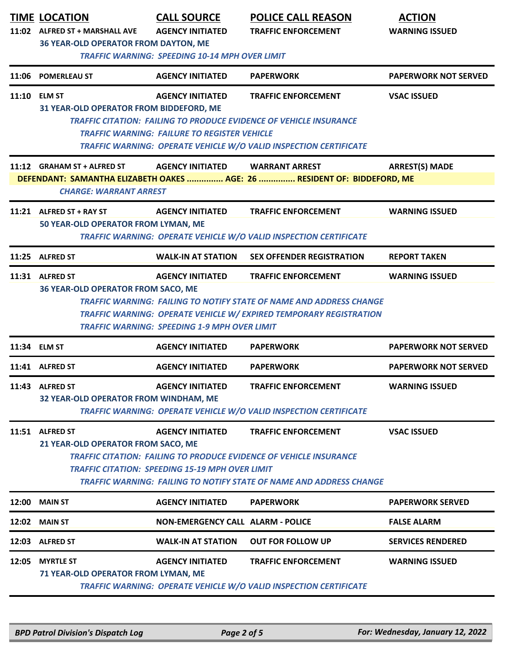|       | <b>TIME LOCATION</b><br>11:02 ALFRED ST + MARSHALL AVE<br><b>36 YEAR-OLD OPERATOR FROM DAYTON, ME</b> | <b>CALL SOURCE</b><br><b>AGENCY INITIATED</b>                                     | <b>POLICE CALL REASON</b><br><b>TRAFFIC ENFORCEMENT</b>                                                                                                                        | <b>ACTION</b><br><b>WARNING ISSUED</b> |
|-------|-------------------------------------------------------------------------------------------------------|-----------------------------------------------------------------------------------|--------------------------------------------------------------------------------------------------------------------------------------------------------------------------------|----------------------------------------|
| 11:06 | <b>POMERLEAU ST</b>                                                                                   | <b>TRAFFIC WARNING: SPEEDING 10-14 MPH OVER LIMIT</b><br><b>AGENCY INITIATED</b>  | <b>PAPERWORK</b>                                                                                                                                                               | <b>PAPERWORK NOT SERVED</b>            |
|       | 11:10 ELM ST<br>31 YEAR-OLD OPERATOR FROM BIDDEFORD, ME                                               | <b>AGENCY INITIATED</b><br><b>TRAFFIC WARNING: FAILURE TO REGISTER VEHICLE</b>    | <b>TRAFFIC ENFORCEMENT</b><br><b>TRAFFIC CITATION: FAILING TO PRODUCE EVIDENCE OF VEHICLE INSURANCE</b><br>TRAFFIC WARNING: OPERATE VEHICLE W/O VALID INSPECTION CERTIFICATE   | <b>VSAC ISSUED</b>                     |
|       | 11:12 GRAHAM ST + ALFRED ST<br><b>CHARGE: WARRANT ARREST</b>                                          | <b>AGENCY INITIATED</b>                                                           | <b>WARRANT ARREST</b><br>DEFENDANT: SAMANTHA ELIZABETH OAKES  AGE: 26  RESIDENT OF: BIDDEFORD, ME                                                                              | <b>ARREST(S) MADE</b>                  |
|       | 11:21 ALFRED ST + RAY ST<br>50 YEAR-OLD OPERATOR FROM LYMAN, ME                                       | <b>AGENCY INITIATED</b>                                                           | <b>TRAFFIC ENFORCEMENT</b><br>TRAFFIC WARNING: OPERATE VEHICLE W/O VALID INSPECTION CERTIFICATE                                                                                | <b>WARNING ISSUED</b>                  |
|       | 11:25 ALFRED ST                                                                                       | <b>WALK-IN AT STATION</b>                                                         | <b>SEX OFFENDER REGISTRATION</b>                                                                                                                                               | <b>REPORT TAKEN</b>                    |
|       | 11:31 ALFRED ST<br>36 YEAR-OLD OPERATOR FROM SACO, ME                                                 | <b>AGENCY INITIATED</b><br><b>TRAFFIC WARNING: SPEEDING 1-9 MPH OVER LIMIT</b>    | <b>TRAFFIC ENFORCEMENT</b><br>TRAFFIC WARNING: FAILING TO NOTIFY STATE OF NAME AND ADDRESS CHANGE<br>TRAFFIC WARNING: OPERATE VEHICLE W/ EXPIRED TEMPORARY REGISTRATION        | <b>WARNING ISSUED</b>                  |
|       | 11:34 ELM ST                                                                                          | <b>AGENCY INITIATED</b>                                                           | <b>PAPERWORK</b>                                                                                                                                                               | <b>PAPERWORK NOT SERVED</b>            |
|       | 11:41 ALFRED ST                                                                                       | <b>AGENCY INITIATED</b>                                                           | <b>PAPERWORK</b>                                                                                                                                                               | <b>PAPERWORK NOT SERVED</b>            |
|       | 11:43 ALFRED ST<br>32 YEAR-OLD OPERATOR FROM WINDHAM, ME                                              | <b>AGENCY INITIATED</b>                                                           | <b>TRAFFIC ENFORCEMENT</b><br>TRAFFIC WARNING: OPERATE VEHICLE W/O VALID INSPECTION CERTIFICATE                                                                                | <b>WARNING ISSUED</b>                  |
|       | 11:51 ALFRED ST<br>21 YEAR-OLD OPERATOR FROM SACO, ME                                                 | <b>AGENCY INITIATED</b><br><b>TRAFFIC CITATION: SPEEDING 15-19 MPH OVER LIMIT</b> | <b>TRAFFIC ENFORCEMENT</b><br><b>TRAFFIC CITATION: FAILING TO PRODUCE EVIDENCE OF VEHICLE INSURANCE</b><br>TRAFFIC WARNING: FAILING TO NOTIFY STATE OF NAME AND ADDRESS CHANGE | <b>VSAC ISSUED</b>                     |
|       | 12:00 MAIN ST                                                                                         | <b>AGENCY INITIATED</b>                                                           | <b>PAPERWORK</b>                                                                                                                                                               | <b>PAPERWORK SERVED</b>                |
|       | 12:02 MAIN ST                                                                                         | <b>NON-EMERGENCY CALL ALARM - POLICE</b>                                          |                                                                                                                                                                                | <b>FALSE ALARM</b>                     |
|       | 12:03 ALFRED ST                                                                                       | <b>WALK-IN AT STATION</b>                                                         | <b>OUT FOR FOLLOW UP</b>                                                                                                                                                       | <b>SERVICES RENDERED</b>               |
| 12:05 | <b>MYRTLE ST</b><br>71 YEAR-OLD OPERATOR FROM LYMAN, ME                                               | <b>AGENCY INITIATED</b>                                                           | <b>TRAFFIC ENFORCEMENT</b><br>TRAFFIC WARNING: OPERATE VEHICLE W/O VALID INSPECTION CERTIFICATE                                                                                | <b>WARNING ISSUED</b>                  |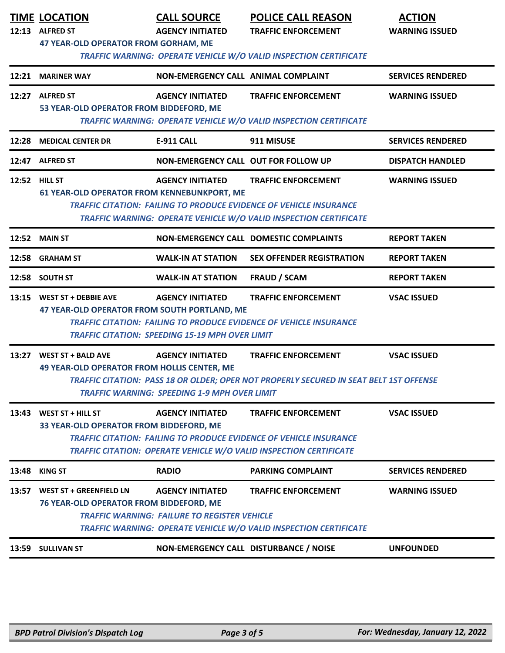|               | <b>TIME LOCATION</b><br>12:13 ALFRED ST<br><b>47 YEAR-OLD OPERATOR FROM GORHAM, ME</b>                                                                                                                                                                                                                | <b>CALL SOURCE</b><br><b>AGENCY INITIATED</b>                                     | <b>POLICE CALL REASON</b><br><b>TRAFFIC ENFORCEMENT</b><br>TRAFFIC WARNING: OPERATE VEHICLE W/O VALID INSPECTION CERTIFICATE                                                 | <b>ACTION</b><br><b>WARNING ISSUED</b> |
|---------------|-------------------------------------------------------------------------------------------------------------------------------------------------------------------------------------------------------------------------------------------------------------------------------------------------------|-----------------------------------------------------------------------------------|------------------------------------------------------------------------------------------------------------------------------------------------------------------------------|----------------------------------------|
|               | 12:21 MARINER WAY                                                                                                                                                                                                                                                                                     | NON-EMERGENCY CALL ANIMAL COMPLAINT                                               |                                                                                                                                                                              | <b>SERVICES RENDERED</b>               |
|               | 12:27 ALFRED ST<br>53 YEAR-OLD OPERATOR FROM BIDDEFORD, ME                                                                                                                                                                                                                                            | <b>AGENCY INITIATED</b>                                                           | <b>TRAFFIC ENFORCEMENT</b><br>TRAFFIC WARNING: OPERATE VEHICLE W/O VALID INSPECTION CERTIFICATE                                                                              | <b>WARNING ISSUED</b>                  |
|               | 12:28 MEDICAL CENTER DR                                                                                                                                                                                                                                                                               | <b>E-911 CALL</b>                                                                 | 911 MISUSE                                                                                                                                                                   | <b>SERVICES RENDERED</b>               |
|               | 12:47 ALFRED ST                                                                                                                                                                                                                                                                                       | NON-EMERGENCY CALL OUT FOR FOLLOW UP                                              |                                                                                                                                                                              | <b>DISPATCH HANDLED</b>                |
| 12:52 HILL ST | 61 YEAR-OLD OPERATOR FROM KENNEBUNKPORT, ME                                                                                                                                                                                                                                                           | <b>AGENCY INITIATED</b>                                                           | <b>TRAFFIC ENFORCEMENT</b><br><b>TRAFFIC CITATION: FAILING TO PRODUCE EVIDENCE OF VEHICLE INSURANCE</b><br>TRAFFIC WARNING: OPERATE VEHICLE W/O VALID INSPECTION CERTIFICATE | <b>WARNING ISSUED</b>                  |
|               | <b>12:52 MAIN ST</b>                                                                                                                                                                                                                                                                                  |                                                                                   | NON-EMERGENCY CALL DOMESTIC COMPLAINTS                                                                                                                                       | <b>REPORT TAKEN</b>                    |
|               | 12:58 GRAHAM ST                                                                                                                                                                                                                                                                                       | <b>WALK-IN AT STATION</b>                                                         | <b>SEX OFFENDER REGISTRATION</b>                                                                                                                                             | <b>REPORT TAKEN</b>                    |
|               | 12:58 SOUTH ST                                                                                                                                                                                                                                                                                        | <b>WALK-IN AT STATION</b>                                                         | <b>FRAUD / SCAM</b>                                                                                                                                                          | <b>REPORT TAKEN</b>                    |
|               | 13:15 WEST ST + DEBBIE AVE<br>47 YEAR-OLD OPERATOR FROM SOUTH PORTLAND, ME                                                                                                                                                                                                                            | <b>AGENCY INITIATED</b><br><b>TRAFFIC CITATION: SPEEDING 15-19 MPH OVER LIMIT</b> | <b>TRAFFIC ENFORCEMENT</b><br><b>TRAFFIC CITATION: FAILING TO PRODUCE EVIDENCE OF VEHICLE INSURANCE</b>                                                                      | <b>VSAC ISSUED</b>                     |
| 13:27         | <b>WEST ST + BALD AVE</b><br><b>49 YEAR-OLD OPERATOR FROM HOLLIS CENTER, ME</b>                                                                                                                                                                                                                       | <b>AGENCY INITIATED</b><br><b>TRAFFIC WARNING: SPEEDING 1-9 MPH OVER LIMIT</b>    | <b>TRAFFIC ENFORCEMENT</b><br>TRAFFIC CITATION: PASS 18 OR OLDER; OPER NOT PROPERLY SECURED IN SEAT BELT 1ST OFFENSE                                                         | <b>VSAC ISSUED</b>                     |
| 13:43         | <b>AGENCY INITIATED</b><br>WEST ST + HILL ST<br><b>TRAFFIC ENFORCEMENT</b><br><b>VSAC ISSUED</b><br>33 YEAR-OLD OPERATOR FROM BIDDEFORD, ME<br><b>TRAFFIC CITATION: FAILING TO PRODUCE EVIDENCE OF VEHICLE INSURANCE</b><br><b>TRAFFIC CITATION: OPERATE VEHICLE W/O VALID INSPECTION CERTIFICATE</b> |                                                                                   |                                                                                                                                                                              |                                        |
| 13:48         | <b>KING ST</b>                                                                                                                                                                                                                                                                                        | <b>RADIO</b>                                                                      | <b>PARKING COMPLAINT</b>                                                                                                                                                     | <b>SERVICES RENDERED</b>               |
| 13:57         | <b>WEST ST + GREENFIELD LN</b><br>76 YEAR-OLD OPERATOR FROM BIDDEFORD, ME                                                                                                                                                                                                                             | <b>AGENCY INITIATED</b><br><b>TRAFFIC WARNING: FAILURE TO REGISTER VEHICLE</b>    | <b>TRAFFIC ENFORCEMENT</b><br>TRAFFIC WARNING: OPERATE VEHICLE W/O VALID INSPECTION CERTIFICATE                                                                              | <b>WARNING ISSUED</b>                  |
| 13:59         | <b>SULLIVAN ST</b>                                                                                                                                                                                                                                                                                    | NON-EMERGENCY CALL DISTURBANCE / NOISE                                            |                                                                                                                                                                              | <b>UNFOUNDED</b>                       |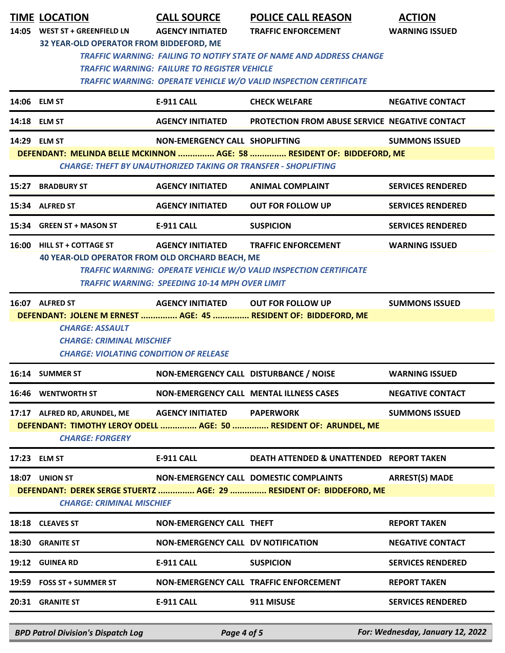|                                  | <b>TIME LOCATION</b>                                                                                                            | <b>CALL SOURCE</b>                                                    | <b>POLICE CALL REASON</b>                                                             | <b>ACTION</b>            |  |
|----------------------------------|---------------------------------------------------------------------------------------------------------------------------------|-----------------------------------------------------------------------|---------------------------------------------------------------------------------------|--------------------------|--|
|                                  | 14:05 WEST ST + GREENFIELD LN                                                                                                   | <b>AGENCY INITIATED</b>                                               | <b>TRAFFIC ENFORCEMENT</b>                                                            | <b>WARNING ISSUED</b>    |  |
|                                  | 32 YEAR-OLD OPERATOR FROM BIDDEFORD, ME                                                                                         |                                                                       |                                                                                       |                          |  |
|                                  | <b>TRAFFIC WARNING: FAILING TO NOTIFY STATE OF NAME AND ADDRESS CHANGE</b>                                                      |                                                                       |                                                                                       |                          |  |
|                                  | <b>TRAFFIC WARNING: FAILURE TO REGISTER VEHICLE</b><br><b>TRAFFIC WARNING: OPERATE VEHICLE W/O VALID INSPECTION CERTIFICATE</b> |                                                                       |                                                                                       |                          |  |
|                                  |                                                                                                                                 |                                                                       |                                                                                       |                          |  |
|                                  | 14:06 ELM ST                                                                                                                    | <b>E-911 CALL</b>                                                     | <b>CHECK WELFARE</b>                                                                  | <b>NEGATIVE CONTACT</b>  |  |
|                                  | 14:18 ELM ST                                                                                                                    | <b>AGENCY INITIATED</b>                                               | PROTECTION FROM ABUSE SERVICE NEGATIVE CONTACT                                        |                          |  |
|                                  | 14:29 ELM ST                                                                                                                    | NON-EMERGENCY CALL SHOPLIFTING                                        |                                                                                       | <b>SUMMONS ISSUED</b>    |  |
|                                  |                                                                                                                                 |                                                                       | DEFENDANT: MELINDA BELLE MCKINNON  AGE: 58  RESIDENT OF: BIDDEFORD, ME                |                          |  |
|                                  |                                                                                                                                 | <b>CHARGE: THEFT BY UNAUTHORIZED TAKING OR TRANSFER - SHOPLIFTING</b> |                                                                                       |                          |  |
|                                  | 15:27 BRADBURY ST                                                                                                               | <b>AGENCY INITIATED</b>                                               | <b>ANIMAL COMPLAINT</b>                                                               | <b>SERVICES RENDERED</b> |  |
|                                  | 15:34 ALFRED ST                                                                                                                 | <b>AGENCY INITIATED</b>                                               | <b>OUT FOR FOLLOW UP</b>                                                              | <b>SERVICES RENDERED</b> |  |
|                                  | 15:34 GREEN ST + MASON ST                                                                                                       | <b>E-911 CALL</b>                                                     | <b>SUSPICION</b>                                                                      | <b>SERVICES RENDERED</b> |  |
|                                  | 16:00 HILL ST + COTTAGE ST                                                                                                      | <b>AGENCY INITIATED</b>                                               | <b>TRAFFIC ENFORCEMENT</b>                                                            | <b>WARNING ISSUED</b>    |  |
|                                  | 40 YEAR-OLD OPERATOR FROM OLD ORCHARD BEACH, ME                                                                                 |                                                                       |                                                                                       |                          |  |
|                                  |                                                                                                                                 |                                                                       | TRAFFIC WARNING: OPERATE VEHICLE W/O VALID INSPECTION CERTIFICATE                     |                          |  |
|                                  |                                                                                                                                 | <b>TRAFFIC WARNING: SPEEDING 10-14 MPH OVER LIMIT</b>                 |                                                                                       |                          |  |
|                                  | 16:07 ALFRED ST                                                                                                                 | <b>AGENCY INITIATED</b>                                               | <b>OUT FOR FOLLOW UP</b>                                                              | <b>SUMMONS ISSUED</b>    |  |
|                                  |                                                                                                                                 |                                                                       | DEFENDANT: JOLENE M ERNEST  AGE: 45  RESIDENT OF: BIDDEFORD, ME                       |                          |  |
|                                  | <b>CHARGE: ASSAULT</b><br><b>CHARGE: CRIMINAL MISCHIEF</b>                                                                      |                                                                       |                                                                                       |                          |  |
|                                  | <b>CHARGE: VIOLATING CONDITION OF RELEASE</b>                                                                                   |                                                                       |                                                                                       |                          |  |
|                                  | 16:14 SUMMER ST                                                                                                                 | NON-EMERGENCY CALL DISTURBANCE / NOISE                                |                                                                                       | <b>WARNING ISSUED</b>    |  |
|                                  |                                                                                                                                 |                                                                       |                                                                                       |                          |  |
|                                  | <b>16:46 WENTWORTH ST</b>                                                                                                       |                                                                       | <b>NON-EMERGENCY CALL MENTAL ILLNESS CASES</b>                                        | <b>NEGATIVE CONTACT</b>  |  |
|                                  | 17:17 ALFRED RD, ARUNDEL, ME                                                                                                    | <b>AGENCY INITIATED</b>                                               | <b>PAPERWORK</b><br>DEFENDANT: TIMOTHY LEROY ODELL  AGE: 50  RESIDENT OF: ARUNDEL, ME | <b>SUMMONS ISSUED</b>    |  |
|                                  | <b>CHARGE: FORGERY</b>                                                                                                          |                                                                       |                                                                                       |                          |  |
|                                  |                                                                                                                                 |                                                                       |                                                                                       |                          |  |
|                                  | 17:23 ELM ST                                                                                                                    | <b>E-911 CALL</b>                                                     | <b>DEATH ATTENDED &amp; UNATTENDED REPORT TAKEN</b>                                   |                          |  |
|                                  | 18:07 UNION ST                                                                                                                  |                                                                       | <b>NON-EMERGENCY CALL DOMESTIC COMPLAINTS</b>                                         | <b>ARREST(S) MADE</b>    |  |
|                                  |                                                                                                                                 |                                                                       | DEFENDANT: DEREK SERGE STUERTZ  AGE: 29  RESIDENT OF: BIDDEFORD, ME                   |                          |  |
| <b>CHARGE: CRIMINAL MISCHIEF</b> |                                                                                                                                 |                                                                       |                                                                                       |                          |  |
|                                  | 18:18 CLEAVES ST                                                                                                                | <b>NON-EMERGENCY CALL THEFT</b>                                       |                                                                                       | <b>REPORT TAKEN</b>      |  |
| 18:30                            | <b>GRANITE ST</b>                                                                                                               | <b>NON-EMERGENCY CALL DV NOTIFICATION</b>                             |                                                                                       | <b>NEGATIVE CONTACT</b>  |  |
| 19:12                            | <b>GUINEA RD</b>                                                                                                                | <b>E-911 CALL</b>                                                     | <b>SUSPICION</b>                                                                      | <b>SERVICES RENDERED</b> |  |
|                                  | 19:59 FOSS ST + SUMMER ST                                                                                                       |                                                                       | NON-EMERGENCY CALL TRAFFIC ENFORCEMENT                                                | <b>REPORT TAKEN</b>      |  |
|                                  | 20:31 GRANITE ST                                                                                                                | <b>E-911 CALL</b>                                                     | 911 MISUSE                                                                            | <b>SERVICES RENDERED</b> |  |
|                                  |                                                                                                                                 |                                                                       |                                                                                       |                          |  |

*BPD Patrol Division's Dispatch Log Page 4 of 5 For: Wednesday, January 12, 2022*